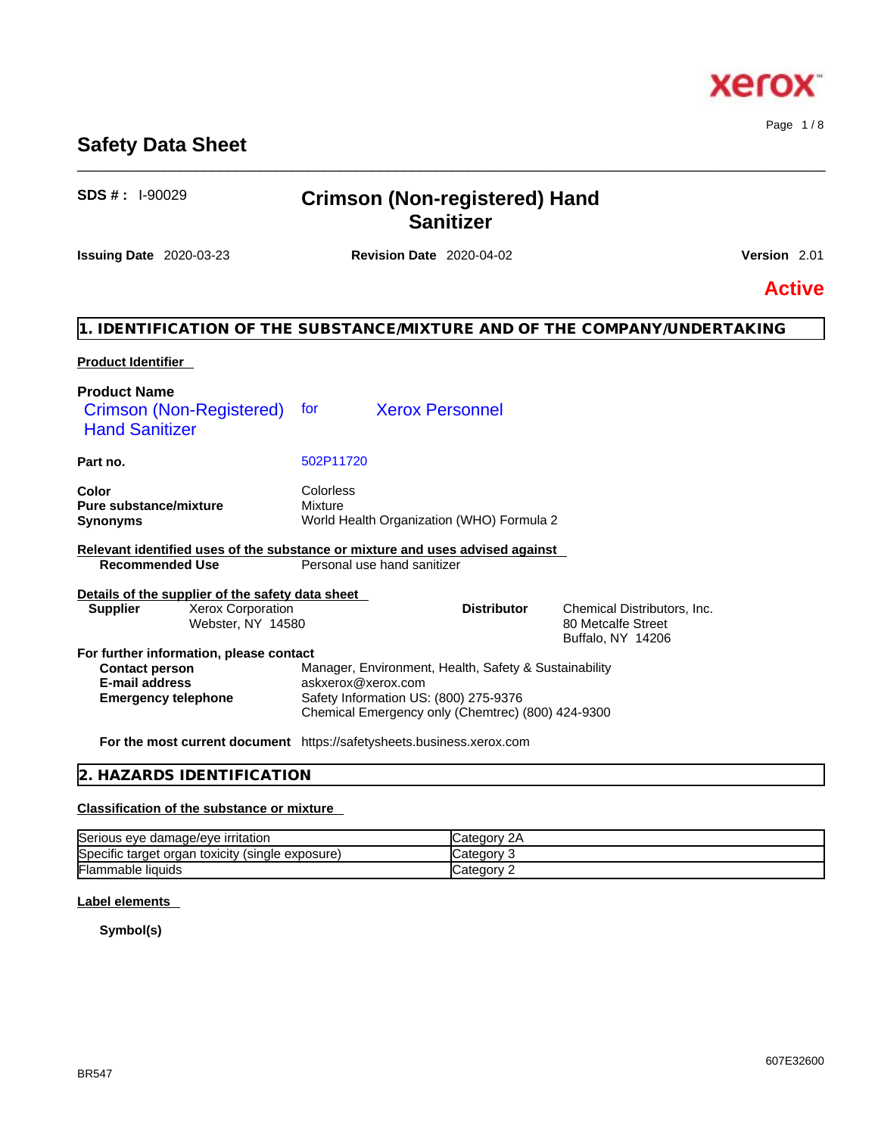# **Safety Data Sheet**

| ວບວ # . ા-ອ∪∪∠ອ                                                          | Crimson (Non-registered) Hand<br><b>Sanitizer</b>                                                            |                                                                        |
|--------------------------------------------------------------------------|--------------------------------------------------------------------------------------------------------------|------------------------------------------------------------------------|
| <b>Issuing Date</b> 2020-03-23                                           | <b>Revision Date 2020-04-02</b>                                                                              | Version 2.01                                                           |
|                                                                          |                                                                                                              | <b>Active</b>                                                          |
|                                                                          | 1. IDENTIFICATION OF THE SUBSTANCE/MIXTURE AND OF THE COMPANY/UNDERTAKING                                    |                                                                        |
| <b>Product Identifier</b>                                                |                                                                                                              |                                                                        |
| <b>Product Name</b><br>Crimson (Non-Registered)<br><b>Hand Sanitizer</b> | <b>Xerox Personnel</b><br>for                                                                                |                                                                        |
| Part no.                                                                 | 502P11720                                                                                                    |                                                                        |
| Color<br><b>Pure substance/mixture</b><br><b>Synonyms</b>                | <b>Colorless</b><br><b>Mixture</b><br>World Health Organization (WHO) Formula 2                              |                                                                        |
| <b>Recommended Use</b>                                                   | Relevant identified uses of the substance or mixture and uses advised against<br>Personal use hand sanitizer |                                                                        |
| Details of the supplier of the safety data sheet                         |                                                                                                              |                                                                        |
| Xerox Corporation<br><b>Supplier</b><br>Webster, NY 14580                | <b>Distributor</b>                                                                                           | Chemical Distributors, Inc.<br>80 Metcalfe Street<br>Buffalo, NY 14206 |
| For further information, please contact                                  |                                                                                                              |                                                                        |
| <b>Contact person</b>                                                    | Manager, Environment, Health, Safety & Sustainability                                                        |                                                                        |
| <b>E-mail address</b>                                                    | askxerox@xerox.com                                                                                           |                                                                        |
| <b>Emergency telephone</b>                                               | Safety Information US: (800) 275-9376<br>Chemical Emergency only (Chemtrec) (800) 424-9300                   |                                                                        |
|                                                                          | For the most current document https://safetysheets.business.xerox.com                                        |                                                                        |
| 2. HAZARDS IDENTIFICATION                                                |                                                                                                              |                                                                        |

# **Classification of the substance or mixture**

| ֿ<br>Serious eye damage/eye irritation                                            | $\sim$<br>Category 2A |
|-----------------------------------------------------------------------------------|-----------------------|
| $\cdots$<br>ּ<br>toxicity<br>(single exposure)<br><b>Specific target</b><br>organ | ∵ategory.<br>- 11     |
| <b>Flammable liquids</b>                                                          | ∵ ategorvټ<br>-       |

# **Label elements**

**Symbol(s)**

**SDS # :** I-90029 **Crimson (Non-registered) Hand** 

\_\_\_\_\_\_\_\_\_\_\_\_\_\_\_\_\_\_\_\_\_\_\_\_\_\_\_\_\_\_\_\_\_\_\_\_\_\_\_\_\_\_\_\_\_\_\_\_\_\_\_\_\_\_\_\_\_\_\_\_\_\_\_\_\_\_\_\_\_\_\_\_\_\_\_\_\_\_\_\_\_\_\_\_\_\_\_\_\_\_\_\_\_\_

Page 1 / 8



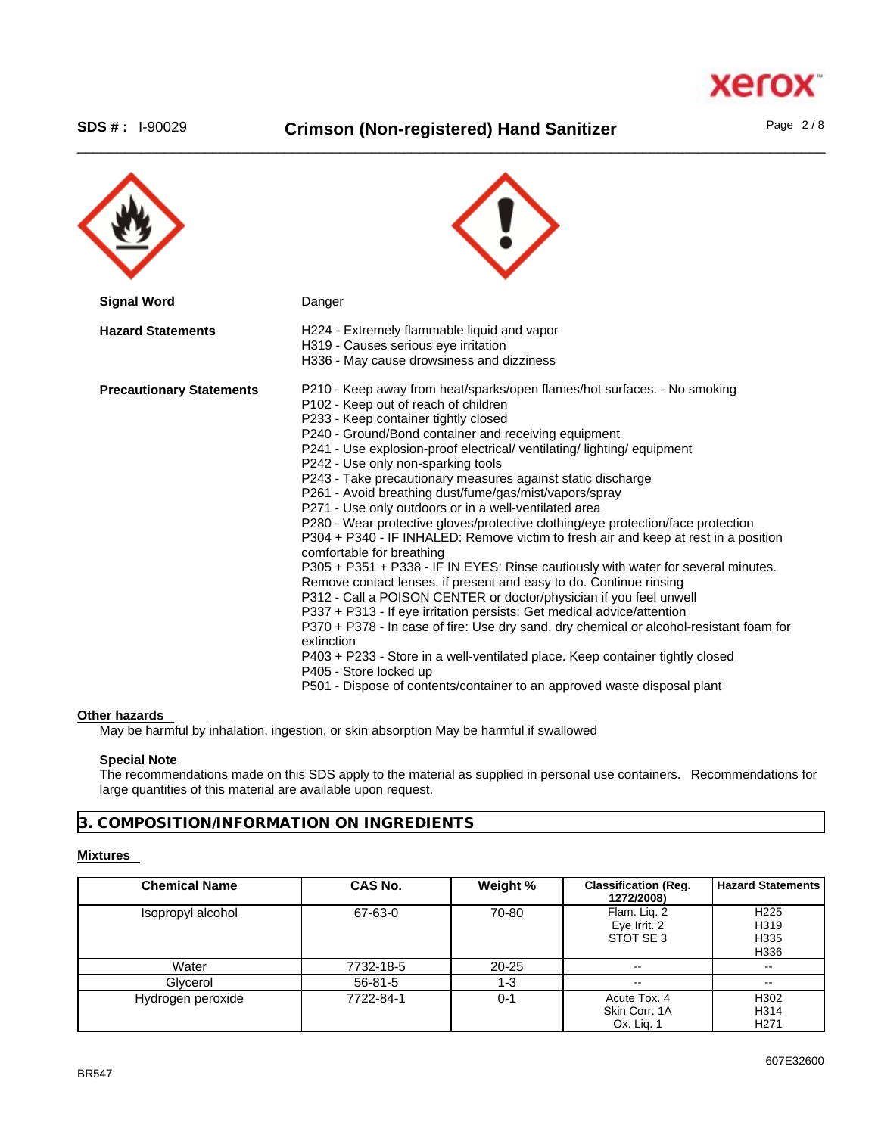# \_\_\_\_\_\_\_\_\_\_\_\_\_\_\_\_\_\_\_\_\_\_\_\_\_\_\_\_\_\_\_\_\_\_\_\_\_\_\_\_\_\_\_\_\_\_\_\_\_\_\_\_\_\_\_\_\_\_\_\_\_\_\_\_\_\_\_\_\_\_\_\_\_\_\_\_\_\_\_\_\_\_\_\_\_\_\_\_\_\_\_\_\_\_ **SDS # :** I-90029 **Crimson (Non-registered) Hand Sanitizer** Page 2 / 8

X.

**Xero** 

| <b>Signal Word</b>              | Danger                                                                                                                                                                                                                                                                                                                                                                                                                                                                                                                                                                                                                                                                                                                                                                                                                                                                                                                                                                                                                                                                                                                                                                                                                                                                                                                                 |
|---------------------------------|----------------------------------------------------------------------------------------------------------------------------------------------------------------------------------------------------------------------------------------------------------------------------------------------------------------------------------------------------------------------------------------------------------------------------------------------------------------------------------------------------------------------------------------------------------------------------------------------------------------------------------------------------------------------------------------------------------------------------------------------------------------------------------------------------------------------------------------------------------------------------------------------------------------------------------------------------------------------------------------------------------------------------------------------------------------------------------------------------------------------------------------------------------------------------------------------------------------------------------------------------------------------------------------------------------------------------------------|
| <b>Hazard Statements</b>        | H224 - Extremely flammable liquid and vapor<br>H319 - Causes serious eye irritation<br>H336 - May cause drowsiness and dizziness                                                                                                                                                                                                                                                                                                                                                                                                                                                                                                                                                                                                                                                                                                                                                                                                                                                                                                                                                                                                                                                                                                                                                                                                       |
| <b>Precautionary Statements</b> | P210 - Keep away from heat/sparks/open flames/hot surfaces. - No smoking<br>P102 - Keep out of reach of children<br>P233 - Keep container tightly closed<br>P240 - Ground/Bond container and receiving equipment<br>P241 - Use explosion-proof electrical/ ventilating/ lighting/ equipment<br>P242 - Use only non-sparking tools<br>P243 - Take precautionary measures against static discharge<br>P261 - Avoid breathing dust/fume/gas/mist/vapors/spray<br>P271 - Use only outdoors or in a well-ventilated area<br>P280 - Wear protective gloves/protective clothing/eye protection/face protection<br>P304 + P340 - IF INHALED: Remove victim to fresh air and keep at rest in a position<br>comfortable for breathing<br>P305 + P351 + P338 - IF IN EYES: Rinse cautiously with water for several minutes.<br>Remove contact lenses, if present and easy to do. Continue rinsing<br>P312 - Call a POISON CENTER or doctor/physician if you feel unwell<br>P337 + P313 - If eye irritation persists: Get medical advice/attention<br>P370 + P378 - In case of fire: Use dry sand, dry chemical or alcohol-resistant foam for<br>extinction<br>P403 + P233 - Store in a well-ventilated place. Keep container tightly closed<br>P405 - Store locked up<br>P501 - Dispose of contents/container to an approved waste disposal plant |

#### **Other hazards**

May be harmful by inhalation, ingestion, or skin absorption May be harmful if swallowed

#### **Special Note**

The recommendations made on this SDS apply to the material as supplied in personal use containers. Recommendations for large quantities of this material are available upon request.

# **3. COMPOSITION/INFORMATION ON INGREDIENTS**

#### **Mixtures**

| <b>Chemical Name</b> | <b>CAS No.</b> | Weight %  | <b>Classification (Reg.</b><br>1272/2008)   | <b>Hazard Statements</b>                 |
|----------------------|----------------|-----------|---------------------------------------------|------------------------------------------|
| Isopropyl alcohol    | 67-63-0        | 70-80     | Flam. Lig. 2<br>Eye Irrit. 2<br>STOT SE 3   | H <sub>225</sub><br>H319<br>H335<br>H336 |
| Water                | 7732-18-5      | $20 - 25$ | $\sim$                                      | $\overline{\phantom{m}}$                 |
| Glycerol             | $56 - 81 - 5$  | $1 - 3$   | $\sim$ $\sim$                               | $\sim$ $\sim$                            |
| Hydrogen peroxide    | 7722-84-1      | $0 - 1$   | Acute Tox, 4<br>Skin Corr, 1A<br>Ox. Lig. 1 | H302<br>H314<br>H <sub>271</sub>         |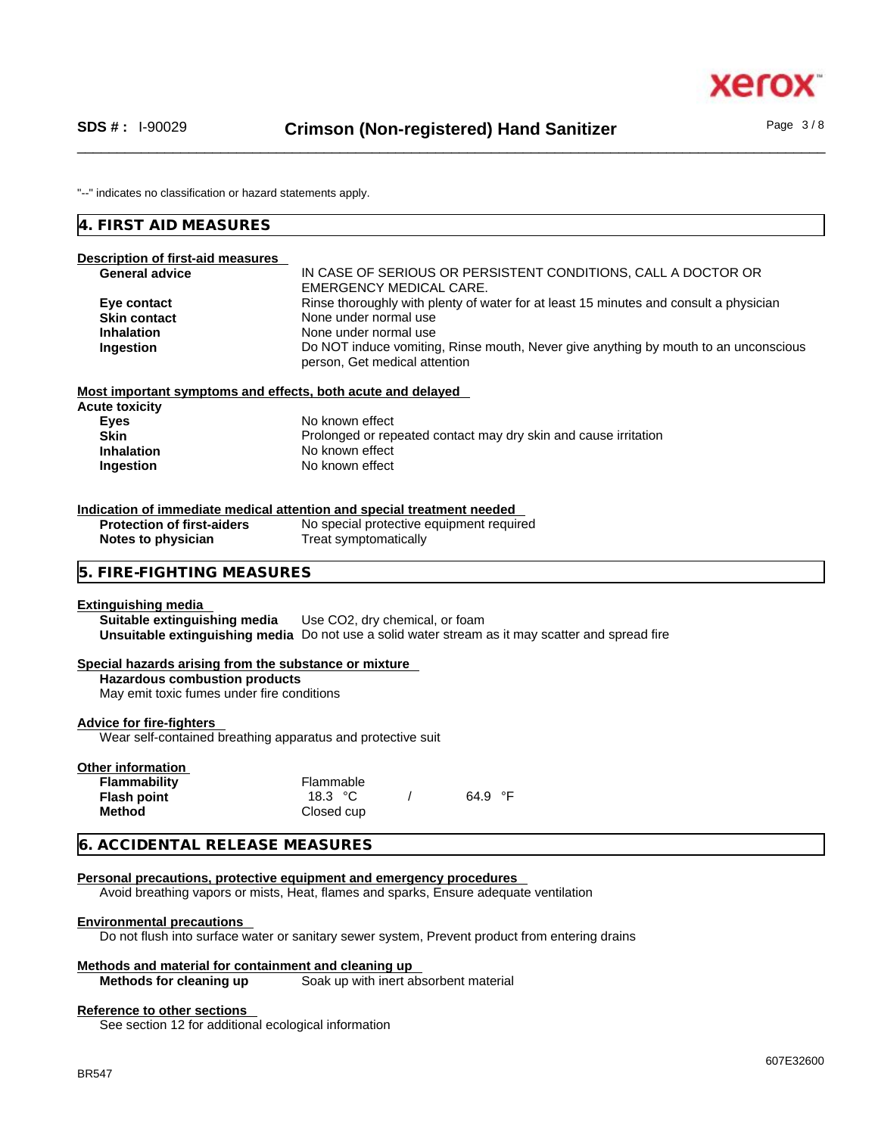"--" indicates no classification or hazard statements apply.

# **4. FIRST AID MEASURES**

| Description of first-aid measures<br><b>General advice</b><br>Eye contact<br><b>Skin contact</b><br><b>Inhalation</b><br>Ingestion          | IN CASE OF SERIOUS OR PERSISTENT CONDITIONS, CALL A DOCTOR OR<br><b>EMERGENCY MEDICAL CARE.</b><br>Rinse thoroughly with plenty of water for at least 15 minutes and consult a physician<br>None under normal use<br>None under normal use<br>Do NOT induce vomiting, Rinse mouth, Never give anything by mouth to an unconscious<br>person, Get medical attention |
|---------------------------------------------------------------------------------------------------------------------------------------------|--------------------------------------------------------------------------------------------------------------------------------------------------------------------------------------------------------------------------------------------------------------------------------------------------------------------------------------------------------------------|
| Most important symptoms and effects, both acute and delayed                                                                                 |                                                                                                                                                                                                                                                                                                                                                                    |
| <b>Acute toxicity</b><br><b>Eyes</b><br><b>Skin</b><br><b>Inhalation</b><br>Ingestion                                                       | No known effect<br>Prolonged or repeated contact may dry skin and cause irritation<br>No known effect<br>No known effect                                                                                                                                                                                                                                           |
|                                                                                                                                             | Indication of immediate medical attention and special treatment needed                                                                                                                                                                                                                                                                                             |
| <b>Protection of first-aiders</b><br>Notes to physician                                                                                     | No special protective equipment required<br>Treat symptomatically                                                                                                                                                                                                                                                                                                  |
| 5. FIRE-FIGHTING MEASURES                                                                                                                   |                                                                                                                                                                                                                                                                                                                                                                    |
| <b>Extinguishing media</b><br>Suitable extinguishing media                                                                                  | Use CO2, dry chemical, or foam<br>Unsuitable extinguishing media Do not use a solid water stream as it may scatter and spread fire                                                                                                                                                                                                                                 |
| Special hazards arising from the substance or mixture<br><b>Hazardous combustion products</b><br>May emit toxic fumes under fire conditions |                                                                                                                                                                                                                                                                                                                                                                    |
| <b>Advice for fire-fighters</b><br>Wear self-contained breathing apparatus and protective suit                                              |                                                                                                                                                                                                                                                                                                                                                                    |
| <b>Other information</b><br><b>Flammability</b><br><b>Flash point</b><br><b>Method</b>                                                      | Flammable<br>18.3 $\degree$ C<br>64.9 °F<br>Closed cup                                                                                                                                                                                                                                                                                                             |
| 6. ACCIDENTAL RELEASE MEASURES                                                                                                              |                                                                                                                                                                                                                                                                                                                                                                    |
|                                                                                                                                             | Personal precautions, protective equipment and emergency procedures<br>Avoid breathing vapors or mists, Heat, flames and sparks, Ensure adequate ventilation                                                                                                                                                                                                       |
| <b>Environmental precautions</b>                                                                                                            |                                                                                                                                                                                                                                                                                                                                                                    |
|                                                                                                                                             | Do not flush into surface water or sanitary sewer system, Prevent product from entering drains                                                                                                                                                                                                                                                                     |

# **Methods and material for containment and cleaning up**

Soak up with inert absorbent material

### **Reference to other sections**

See section 12 for additional ecological information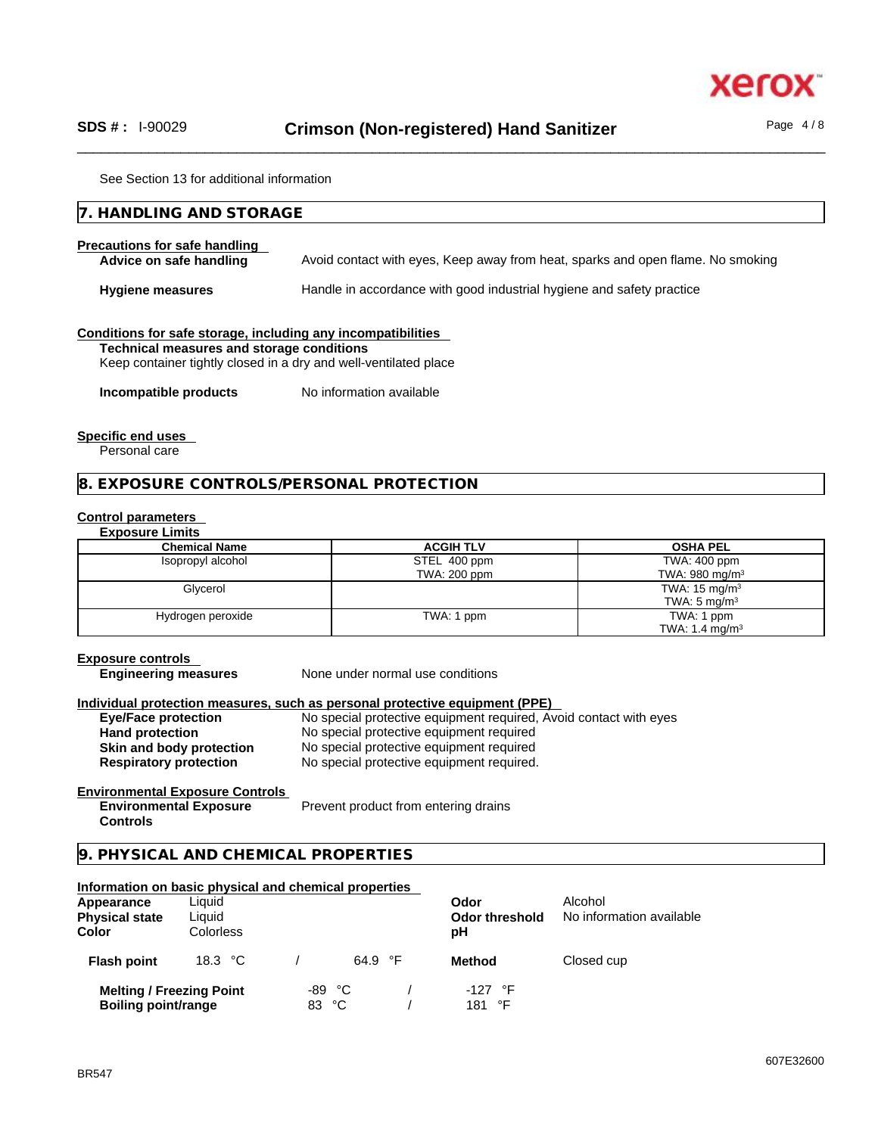

See Section 13 for additional information

| 7. HANDLING AND STORAGE                                                                                                                                                       |                                                                                 |  |
|-------------------------------------------------------------------------------------------------------------------------------------------------------------------------------|---------------------------------------------------------------------------------|--|
| Precautions for safe handling<br>Advice on safe handling                                                                                                                      | Avoid contact with eyes, Keep away from heat, sparks and open flame. No smoking |  |
| <b>Hygiene measures</b>                                                                                                                                                       | Handle in accordance with good industrial hygiene and safety practice           |  |
| Conditions for safe storage, including any incompatibilities<br>Technical measures and storage conditions<br>Keep container tightly closed in a dry and well-ventilated place |                                                                                 |  |
| Incompatible products                                                                                                                                                         | No information available                                                        |  |

#### **Specific end uses**

Personal care

#### **8. EXPOSURE CONTROLS/PERSONAL PROTECTION**

#### **Control parameters**

#### **Exposure Limits**

| <b>Chemical Name</b> | <b>ACGIH TLV</b> | <b>OSHA PEL</b>            |
|----------------------|------------------|----------------------------|
| Isopropyl alcohol    | STEL 400 ppm     | TWA: 400 ppm               |
|                      | TWA: 200 ppm     | TWA: 980 mg/m <sup>3</sup> |
| Glycerol             |                  | TWA: $15 \text{ mg/m}^3$   |
|                      |                  | TWA: $5 \text{ mg/m}^3$    |
| Hydrogen peroxide    | TWA: 1 ppm       | TWA: 1 ppm                 |
|                      |                  | TWA: 1.4 mg/m <sup>3</sup> |

#### **Exposure controls**

**Engineering measures** None under normal use conditions

#### **Individual protection measures, such as personal protective equipment (PPE)**

| <b>Eye/Face protection</b>    | No special protective equipment required, Avoid contact with eyes |
|-------------------------------|-------------------------------------------------------------------|
| <b>Hand protection</b>        | No special protective equipment required                          |
| Skin and body protection      | No special protective equipment required                          |
| <b>Respiratory protection</b> | No special protective equipment required.                         |

#### **Environmental Exposure Controls Environmental Exposure Controls**

Prevent product from entering drains

# **9. PHYSICAL AND CHEMICAL PROPERTIES**

# **Information on basic physical and chemical properties Melting / Freezing Point**  $-89 \text{ °C}$  /  $-127 \text{ °F}$ <br> **Boiling point/range**  $-83 \text{ °C}$  /  $-181 \text{ °F}$ **Boiling point/range Appearance** Liquid **CODO CODE CONCLUSION Physical state** Liquid **Collection Construction Collection Collection Collection Collection Collection Collection Collection Collection Collection Collection Collection Collection Collection Coll Color** Colorless **pH Flash point** 18.3 °C / 64.9 °F **Method** Closed cup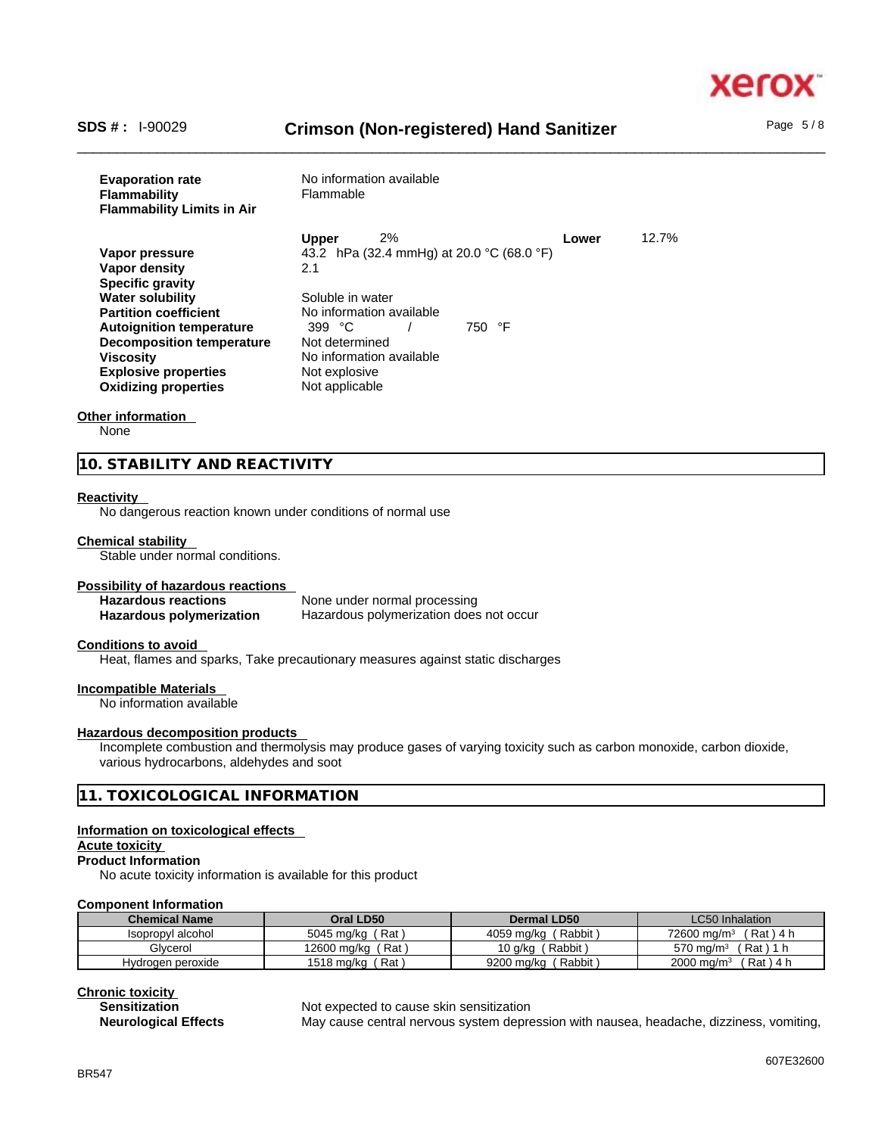

# \_\_\_\_\_\_\_\_\_\_\_\_\_\_\_\_\_\_\_\_\_\_\_\_\_\_\_\_\_\_\_\_\_\_\_\_\_\_\_\_\_\_\_\_\_\_\_\_\_\_\_\_\_\_\_\_\_\_\_\_\_\_\_\_\_\_\_\_\_\_\_\_\_\_\_\_\_\_\_\_\_\_\_\_\_\_\_\_\_\_\_\_\_\_ **SDS # :** I-90029 **Crimson (Non-registered) Hand Sanitizer** Page 5 / 8

| <b>Evaporation rate</b><br><b>Flammability</b><br><b>Flammability Limits in Air</b> | No information available<br>Flammable     |       |       |
|-------------------------------------------------------------------------------------|-------------------------------------------|-------|-------|
|                                                                                     | 2%<br><b>Upper</b>                        | Lower | 12.7% |
| Vapor pressure                                                                      | 43.2 hPa (32.4 mmHg) at 20.0 °C (68.0 °F) |       |       |
| Vapor density                                                                       | 2.1                                       |       |       |
| <b>Specific gravity</b>                                                             |                                           |       |       |
| <b>Water solubility</b>                                                             | Soluble in water                          |       |       |
| <b>Partition coefficient</b>                                                        | No information available                  |       |       |
| <b>Autoignition temperature</b>                                                     | 750 °F<br>399 $°C$                        |       |       |
| <b>Decomposition temperature</b>                                                    | Not determined                            |       |       |
| <b>Viscosity</b>                                                                    | No information available                  |       |       |
| <b>Explosive properties</b>                                                         | Not explosive                             |       |       |
| <b>Oxidizing properties</b>                                                         | Not applicable                            |       |       |

#### **Other information**

None

**10. STABILITY AND REACTIVITY** 

#### **Reactivity**

No dangerous reaction known under conditions of normal use

#### **Chemical stability**

Stable under normal conditions.

#### **Possibility of hazardous reactions**

**Hazardous reactions**<br> **Hazardous polymerization Hazardous polymerization does Hazardous polymerization does not occur** 

#### **Conditions to avoid**

Heat, flames and sparks, Take precautionary measures against static discharges

#### **Incompatible Materials**

No information available

#### **Hazardous decomposition products**

Incomplete combustion and thermolysis may produce gases of varying toxicity such as carbon monoxide, carbon dioxide, various hydrocarbons, aldehydes and soot

#### **11. TOXICOLOGICAL INFORMATION**

#### **Information on toxicological effects**

#### **Acute toxicity**

**Product Information**

No acute toxicity information is available for this product

#### **Component Information**

| <b>Chemical Name</b>   | Oral LD50         | Dermal LD50          | <b>LC50 Inhalation</b>                  |
|------------------------|-------------------|----------------------|-----------------------------------------|
| l alcohol<br>Isopropyl | Rat<br>5045 mg/kg | Rabbit<br>4059 ma/ka | ˈ Rat<br>$72600 \text{ ma/m}^3$<br>∖4 h |
| Glvcerol               | Rat               | Rabbit,              | Rat                                     |
|                        | 12600 ma/ka       | 10 a/ka              | 570 ma/m $\overline{ }$                 |
| Hvdrogen peroxide      | Rat               | Rabbit               | Rat ) 4 h                               |
|                        | 1518 ma/ka        | 9200 ma/ka           | $2000 \text{ ma/m}^3$                   |

**Chronic toxicity**

#### **Sensitization** Not expected to cause skin sensitization

**Neurological Effects** May cause central nervous system depression with nausea, headache, dizziness, vomiting,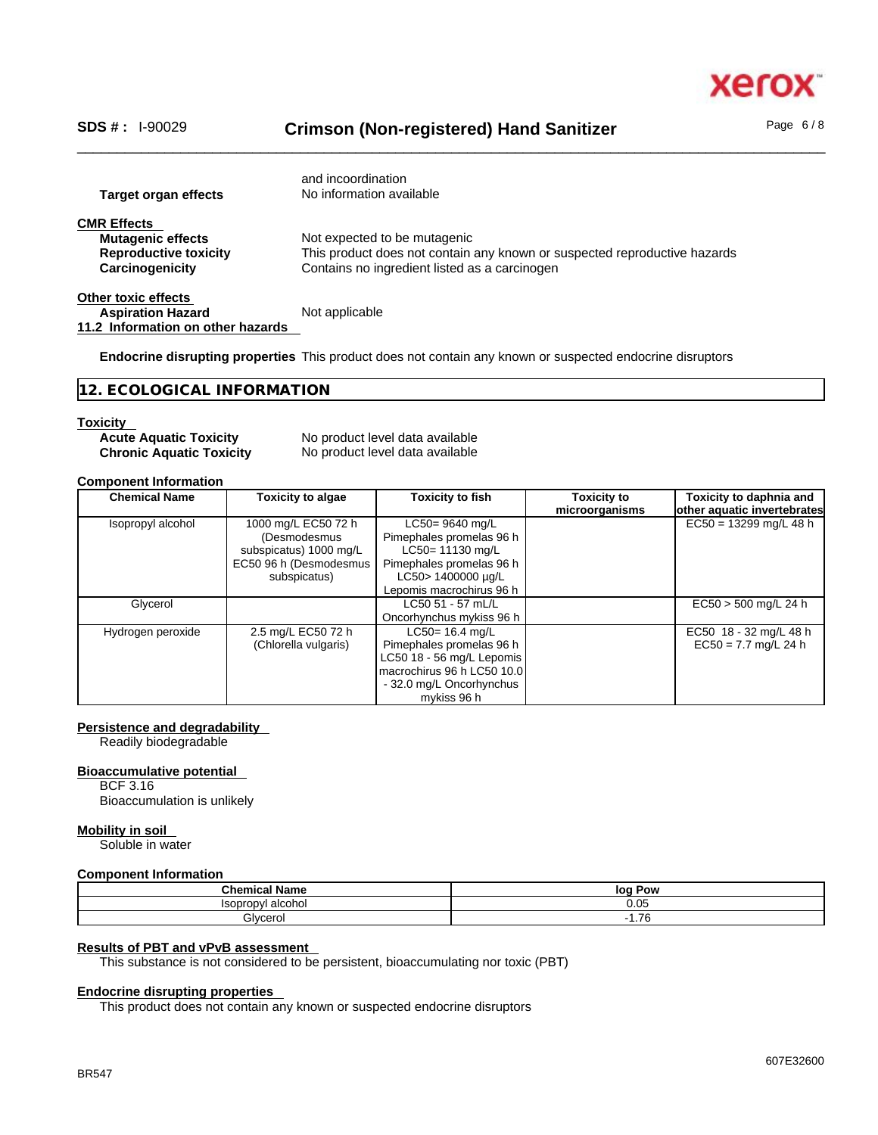xero

\_\_\_\_\_\_\_\_\_\_\_\_\_\_\_\_\_\_\_\_\_\_\_\_\_\_\_\_\_\_\_\_\_\_\_\_\_\_\_\_\_\_\_\_\_\_\_\_\_\_\_\_\_\_\_\_\_\_\_\_\_\_\_\_\_\_\_\_\_\_\_\_\_\_\_\_\_\_\_\_\_\_\_\_\_\_\_\_\_\_\_\_\_\_ **SDS # :** I-90029 **Crimson (Non-registered) Hand Sanitizer** Page 6 / 8

| Target organ effects                                                                              | and incoordination<br>No information available                                                                                                             |
|---------------------------------------------------------------------------------------------------|------------------------------------------------------------------------------------------------------------------------------------------------------------|
| <b>CMR Effects</b><br><b>Mutagenic effects</b><br><b>Reproductive toxicity</b><br>Carcinogenicity | Not expected to be mutagenic<br>This product does not contain any known or suspected reproductive hazards<br>Contains no ingredient listed as a carcinogen |
| Other toxic effects<br><b>Aspiration Hazard</b><br>11.2 Information on other hazards              | Not applicable                                                                                                                                             |

**Endocrine disrupting properties** This product does not contain any known or suspected endocrine disruptors

**12. ECOLOGICAL INFORMATION** 

#### **Toxicity**

| <b>Acute Aquatic Toxicity</b>   |
|---------------------------------|
| <b>Chronic Aquatic Toxicity</b> |

**No product level data available No product level data available** 

#### **Component Information**

| <b>Chemical Name</b> | <b>Toxicity to algae</b>                                                                                | <b>Toxicity to fish</b>                                                                                                                              | Toxicity to<br>microorganisms | Toxicity to daphnia and<br>other aquatic invertebrates |
|----------------------|---------------------------------------------------------------------------------------------------------|------------------------------------------------------------------------------------------------------------------------------------------------------|-------------------------------|--------------------------------------------------------|
| Isopropyl alcohol    | 1000 mg/L EC50 72 h<br>(Desmodesmus<br>subspicatus) 1000 mg/L<br>EC50 96 h (Desmodesmus<br>subspicatus) | $LC50 = 9640$ mg/L<br>Pimephales promelas 96 h<br>LC50= 11130 mg/L<br>Pimephales promelas 96 h<br>LC50> 1400000 µg/L<br>Lepomis macrochirus 96 h     |                               | $EC50 = 13299$ mg/L 48 h                               |
| Glycerol             |                                                                                                         | LC50 51 - 57 mL/L<br>Oncorhynchus mykiss 96 h                                                                                                        |                               | $EC50 > 500$ mg/L 24 h                                 |
| Hydrogen peroxide    | 2.5 mg/L EC50 72 h<br>(Chlorella vulgaris)                                                              | $LC50 = 16.4$ mg/L<br>Pimephales promelas 96 h<br>LC50 18 - 56 mg/L Lepomis<br>macrochirus 96 h LC50 10.0<br>- 32.0 mg/L Oncorhynchus<br>mykiss 96 h |                               | EC50 18 - 32 mg/L 48 h<br>$EC50 = 7.7$ mg/L 24 h       |

### **Persistence and degradability**

Readily biodegradable

#### **Bioaccumulative potential**

BCF 3.16 Bioaccumulation is unlikely

#### **Mobility in soil**

Soluble in water

#### **Component Information**

| .<br>Chemica.<br>71 I IV. | Pow<br>lor |
|---------------------------|------------|
| conronyl<br>`alcohoi      | 0.05       |
| Glycerol<br>.             | 7C<br>1.70 |

## **Results of PBT and vPvB assessment**

This substance is not considered to be persistent, bioaccumulating nor toxic (PBT)

### **Endocrine disrupting properties**

This product does not contain any known or suspected endocrine disruptors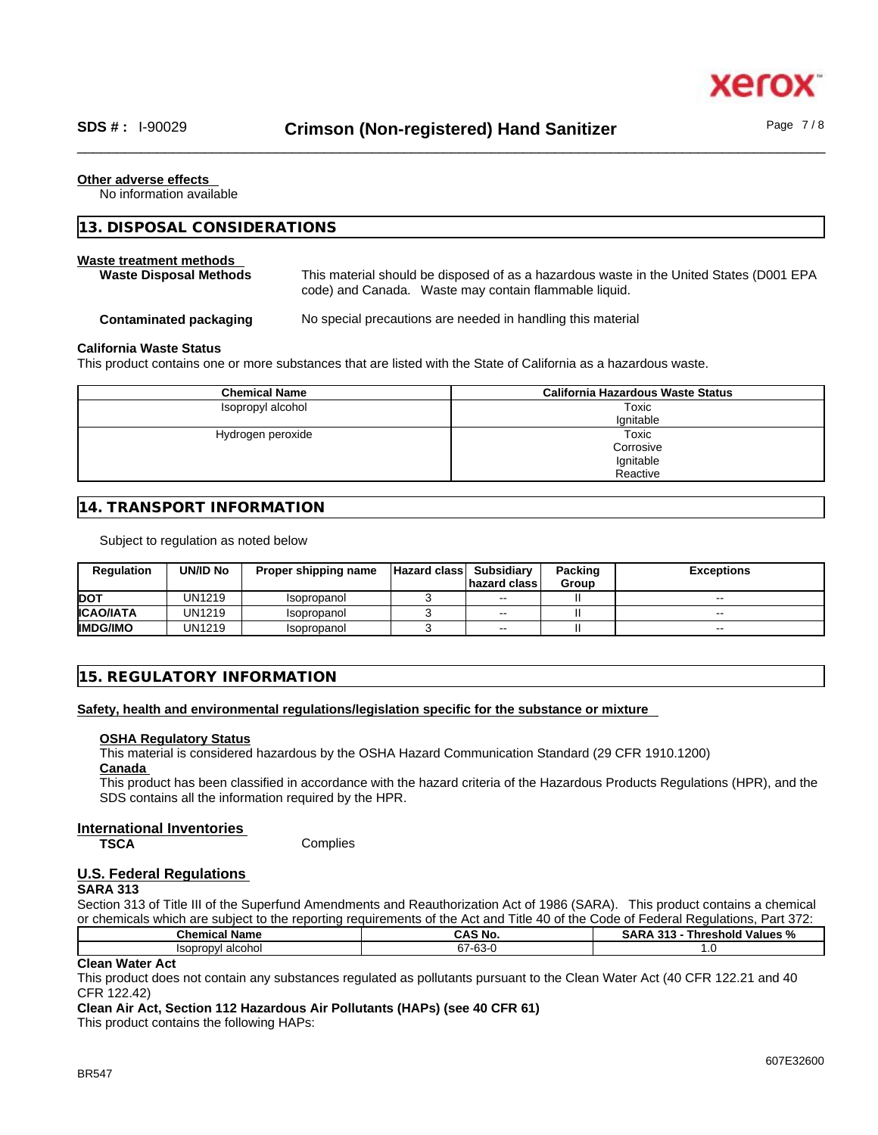#### **Other adverse effects**

No information available

| 13. DISPOSAL CONSIDERATIONS                              |                                                                                                                                                  |  |
|----------------------------------------------------------|--------------------------------------------------------------------------------------------------------------------------------------------------|--|
| Waste treatment methods<br><b>Waste Disposal Methods</b> | This material should be disposed of as a hazardous waste in the United States (D001 EPA<br>code) and Canada. Waste may contain flammable liquid. |  |
| Contaminated packaging                                   | No special precautions are needed in handling this material                                                                                      |  |
| California Marcha Chabra                                 |                                                                                                                                                  |  |

#### **California Waste Status**

This product contains one or more substances that are listed with the State of California as a hazardous waste.

| <b>Chemical Name</b> | <b>California Hazardous Waste Status</b> |
|----------------------|------------------------------------------|
| Isopropyl alcohol    | Toxic                                    |
|                      | lanitable                                |
| Hydrogen peroxide    | Toxic                                    |
|                      | Corrosive                                |
|                      | Ignitable                                |
|                      | Reactive                                 |

#### **14. TRANSPORT INFORMATION**

Subject to regulation as noted below

| <b>Regulation</b> | UN/ID No | Proper shipping name | <b>Hazard class</b> | Subsidiarv<br><b>Inazard class</b> | Packing<br>Group | <b>Exceptions</b> |
|-------------------|----------|----------------------|---------------------|------------------------------------|------------------|-------------------|
| <b>DOT</b>        | UN1219   | Isopropanol          |                     | $- -$                              |                  | $\sim$            |
| <b>ICAO/IATA</b>  | UN1219   | Isopropanol          |                     | $- -$                              |                  | $\sim$ $\sim$     |
| <b>IIMDG/IMO</b>  | UN1219   | Isopropanol          |                     | $\sim$ $\sim$                      |                  | $- -$             |

#### **15. REGULATORY INFORMATION**

**Safety, health and environmental regulations/legislation specific for the substance or mixture**

#### **OSHA Regulatory Status**

This material is considered hazardous by the OSHA Hazard Communication Standard (29 CFR 1910.1200) **Canada** 

This product has been classified in accordance with the hazard criteria of the Hazardous Products Regulations (HPR), and the SDS contains all the information required by the HPR.

#### **International Inventories**

**TSCA** Complies

# **U.S. Federal Regulations**

# **SARA 313**

Section 313 of Title III of the Superfund Amendments and Reauthorization Act of 1986 (SARA). This product contains a chemical or chemicals which are subject to the reporting requirements of the Act and Title 40 of the Code of Federal Regulations, Part 372:

| <b>Cham</b><br>Name<br><br>спеннса | <b>CAS N</b><br>` No.                | -949<br>⊺hreshold<br><br>sΑ<br>Values<br>. и<br>-70 |  |
|------------------------------------|--------------------------------------|-----------------------------------------------------|--|
| alcohol<br><b>Isopropyl</b>        | $\sim$<br>~-<br>$01 -$<br>ാ-<br>- 1. | .                                                   |  |
| .                                  |                                      |                                                     |  |

#### **Clean Water Act**

This product does not contain any substances regulated as pollutants pursuant to the Clean Water Act (40 CFR 122.21 and 40 CFR 122.42)

#### **Clean Air Act,Section 112 Hazardous Air Pollutants (HAPs) (see 40 CFR 61)**

This product contains the following HAPs: